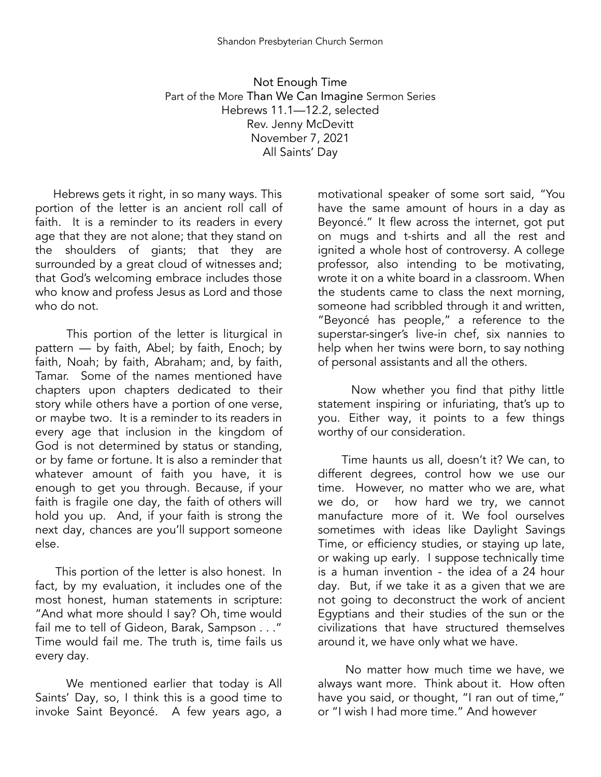Not Enough Time Part of the More Than We Can Imagine Sermon Series Hebrews 11.1—12.2, selected Rev. Jenny McDevitt November 7, 2021 All Saints' Day

Hebrews gets it right, in so many ways. This portion of the letter is an ancient roll call of faith. It is a reminder to its readers in every age that they are not alone; that they stand on the shoulders of giants; that they are surrounded by a great cloud of witnesses and; that God's welcoming embrace includes those who know and profess Jesus as Lord and those who do not.

This portion of the letter is liturgical in pattern — by faith, Abel; by faith, Enoch; by faith, Noah; by faith, Abraham; and, by faith, Tamar. Some of the names mentioned have chapters upon chapters dedicated to their story while others have a portion of one verse, or maybe two. It is a reminder to its readers in every age that inclusion in the kingdom of God is not determined by status or standing, or by fame or fortune. It is also a reminder that whatever amount of faith you have, it is enough to get you through. Because, if your faith is fragile one day, the faith of others will hold you up. And, if your faith is strong the next day, chances are you'll support someone else.

This portion of the letter is also honest. In fact, by my evaluation, it includes one of the most honest, human statements in scripture: "And what more should I say? Oh, time would fail me to tell of Gideon, Barak, Sampson . . ." Time would fail me. The truth is, time fails us every day.

We mentioned earlier that today is All Saints' Day, so, I think this is a good time to invoke Saint Beyoncé. A few years ago, a

motivational speaker of some sort said, "You have the same amount of hours in a day as Beyoncé." It flew across the internet, got put on mugs and t-shirts and all the rest and ignited a whole host of controversy. A college professor, also intending to be motivating, wrote it on a white board in a classroom. When the students came to class the next morning, someone had scribbled through it and written, "Beyoncé has people," a reference to the superstar-singer's live-in chef, six nannies to help when her twins were born, to say nothing of personal assistants and all the others.

Now whether you find that pithy little statement inspiring or infuriating, that's up to you. Either way, it points to a few things worthy of our consideration.

Time haunts us all, doesn't it? We can, to different degrees, control how we use our time. However, no matter who we are, what we do, or how hard we try, we cannot manufacture more of it. We fool ourselves sometimes with ideas like Daylight Savings Time, or efficiency studies, or staying up late, or waking up early. I suppose technically time is a human invention - the idea of a 24 hour day. But, if we take it as a given that we are not going to deconstruct the work of ancient Egyptians and their studies of the sun or the civilizations that have structured themselves around it, we have only what we have.

No matter how much time we have, we always want more. Think about it. How often have you said, or thought, "I ran out of time," or "I wish I had more time." And however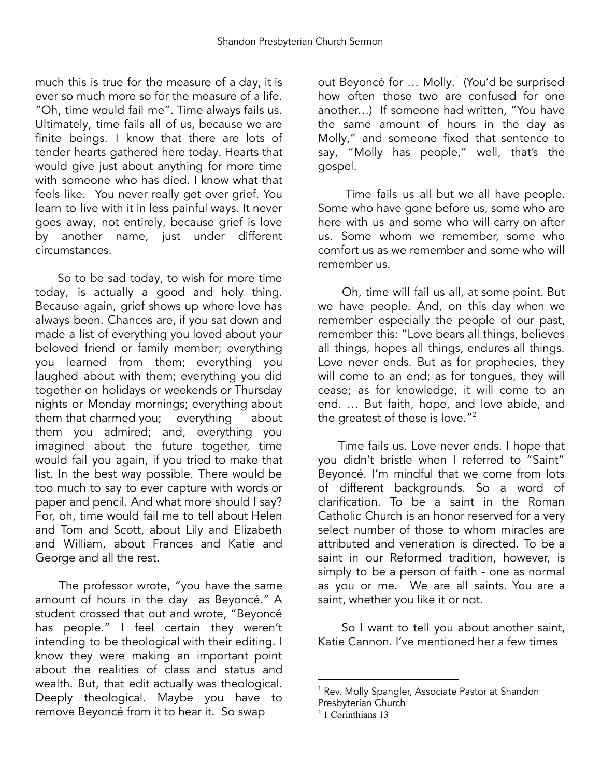much this is true for the measure of a day, it is ever so much more so for the measure of a life. "Oh, time would fail me". Time always fails us. Ultimately, time fails all of us, because we are finite beings. I know that there are lots of tender hearts gathered here today. Hearts that would give just about anything for more time with someone who has died. I know what that feels like. You never really get over grief. You learn to live with it in less painful ways. It never goes away, not entirely, because grief is love by another name, just under different circumstances.

So to be sad today, to wish for more time today, is actually a good and holy thing. Because again, grief shows up where love has always been. Chances are, if you sat down and made a list of everything you loved about your beloved friend or family member; everything you learned from them; everything you laughed about with them; everything you did together on holidays or weekends or Thursday nights or Monday mornings; everything about them that charmed you; everything about them you admired; and, everything you imagined about the future together, time would fail you again, if you tried to make that list. In the best way possible. There would be too much to say to ever capture with words or paper and pencil. And what more should I say? For, oh, time would fail me to tell about Helen and Tom and Scott, about Lily and Elizabeth and William, about Frances and Katie and George and all the rest.

The professor wrote, "you have the same amount of hours in the day as Beyoncé." A student crossed that out and wrote, "Beyoncé has people." I feel certain they weren't intending to be theological with their editing. I know they were making an important point about the realities of class and status and wealth. But, that edit actually was theological. Deeply theological. Maybe you have to remove Beyoncé from it to hear it. So swap

out Beyoncé for ... Molly.<sup>1</sup> (You'd be surprised how often those two are confused for one another…) If someone had written, "You have the same amount of hours in the day as Molly," and someone fixed that sentence to say, "Molly has people," well, that's the gospel.

Time fails us all but we all have people. Some who have gone before us, some who are here with us and some who will carry on after us. Some whom we remember, some who comfort us as we remember and some who will remember us.

Oh, time will fail us all, at some point. But we have people. And, on this day when we remember especially the people of our past, remember this: "Love bears all things, believes all things, hopes all things, endures all things. Love never ends. But as for prophecies, they will come to an end; as for tongues, they will cease; as for knowledge, it will come to an end. … But faith, hope, and love abide, and the greatest of these is love." 2

Time fails us. Love never ends. I hope that you didn't bristle when I referred to "Saint" Beyoncé. I'm mindful that we come from lots of different backgrounds. So a word of clarification. To be a saint in the Roman Catholic Church is an honor reserved for a very select number of those to whom miracles are attributed and veneration is directed. To be a saint in our Reformed tradition, however, is simply to be a person of faith - one as normal as you or me. We are all saints. You are a saint, whether you like it or not.

So I want to tell you about another saint, Katie Cannon. I've mentioned her a few times

<sup>&</sup>lt;sup>1</sup> Rev. Molly Spangler, Associate Pastor at Shandon

Presbyterian Church

<sup>2</sup> 1 Corinthians 13